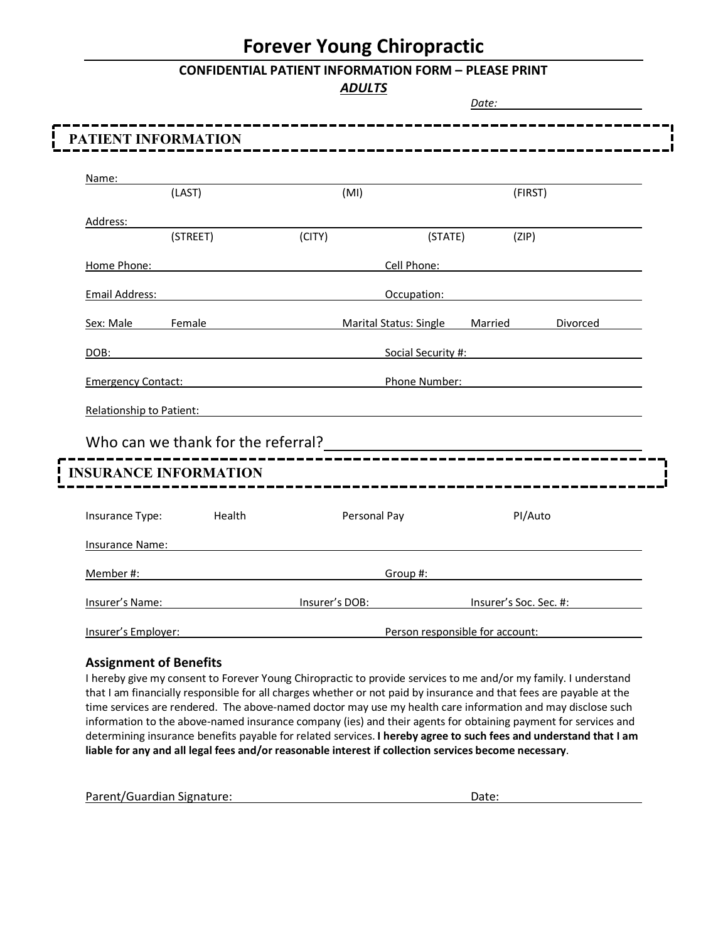## **Forever Young Chiropractic**

#### **CONFIDENTIAL PATIENT INFORMATION FORM – PLEASE PRINT**

*ADULTS*

|                          |                                                                                                                                                                                                                                |                                                                         |                                 | Date:                  |                                                                                                                                                                                                                                |
|--------------------------|--------------------------------------------------------------------------------------------------------------------------------------------------------------------------------------------------------------------------------|-------------------------------------------------------------------------|---------------------------------|------------------------|--------------------------------------------------------------------------------------------------------------------------------------------------------------------------------------------------------------------------------|
|                          | PATIENT INFORMATION                                                                                                                                                                                                            |                                                                         |                                 |                        |                                                                                                                                                                                                                                |
| Name:                    |                                                                                                                                                                                                                                |                                                                         |                                 |                        |                                                                                                                                                                                                                                |
|                          | (LAST)                                                                                                                                                                                                                         | (MI)                                                                    |                                 | (FIRST)                |                                                                                                                                                                                                                                |
| Address:                 |                                                                                                                                                                                                                                |                                                                         |                                 |                        |                                                                                                                                                                                                                                |
|                          | (STREET)                                                                                                                                                                                                                       | (CITY)                                                                  |                                 | (STATE)<br>(ZIP)       |                                                                                                                                                                                                                                |
|                          | Home Phone: Note and the state of the state of the state of the state of the state of the state of the state of the state of the state of the state of the state of the state of the state of the state of the state of the st |                                                                         |                                 |                        | Cell Phone: The Contract of the Contract of the Contract of the Contract of the Contract of the Contract of the Contract of the Contract of the Contract of the Contract of the Contract of the Contract of the Contract of th |
| Email Address:           |                                                                                                                                                                                                                                |                                                                         | Occupation:                     |                        |                                                                                                                                                                                                                                |
| Sex: Male Female         |                                                                                                                                                                                                                                | Marital Status: Single Married Divorced                                 |                                 |                        |                                                                                                                                                                                                                                |
| DOB:                     | <b>Social Security #:</b> Social Security #:                                                                                                                                                                                   |                                                                         |                                 |                        |                                                                                                                                                                                                                                |
|                          | Emergency Contact: Emergency Contact:                                                                                                                                                                                          |                                                                         | Phone Number:                   |                        |                                                                                                                                                                                                                                |
| Relationship to Patient: |                                                                                                                                                                                                                                | <u> 1989 - Johann John Stein, markin fizik eta idazleari (h. 1982).</u> |                                 |                        |                                                                                                                                                                                                                                |
|                          | Who can we thank for the referral?<br><u> Who can we thank for the referral?</u>                                                                                                                                               |                                                                         |                                 |                        |                                                                                                                                                                                                                                |
|                          | <b>INSURANCE INFORMATION</b>                                                                                                                                                                                                   |                                                                         |                                 |                        |                                                                                                                                                                                                                                |
| Insurance Type:          | Health                                                                                                                                                                                                                         |                                                                         | Personal Pay                    | PI/Auto                |                                                                                                                                                                                                                                |
| Insurance Name:          |                                                                                                                                                                                                                                |                                                                         |                                 |                        |                                                                                                                                                                                                                                |
|                          | Member #: New York 2014 19:00 the Member #:                                                                                                                                                                                    |                                                                         | Group #:                        |                        | the contract of the contract of the contract of the contract of the contract of                                                                                                                                                |
|                          | <u>Insurer's Name:</u>                                                                                                                                                                                                         | Insurer's DOB:                                                          |                                 | lnsurer's Soc. Sec. #: |                                                                                                                                                                                                                                |
| Insurer's Employer:      |                                                                                                                                                                                                                                |                                                                         | Person responsible for account: |                        |                                                                                                                                                                                                                                |

### **Assignment of Benefits**

I hereby give my consent to Forever Young Chiropractic to provide services to me and/or my family. I understand that I am financially responsible for all charges whether or not paid by insurance and that fees are payable at the time services are rendered. The above-named doctor may use my health care information and may disclose such information to the above-named insurance company (ies) and their agents for obtaining payment for services and determining insurance benefits payable for related services. **I hereby agree to such fees and understand that I am liable for any and all legal fees and/or reasonable interest if collection services become necessary**.

Parent/Guardian Signature: Date: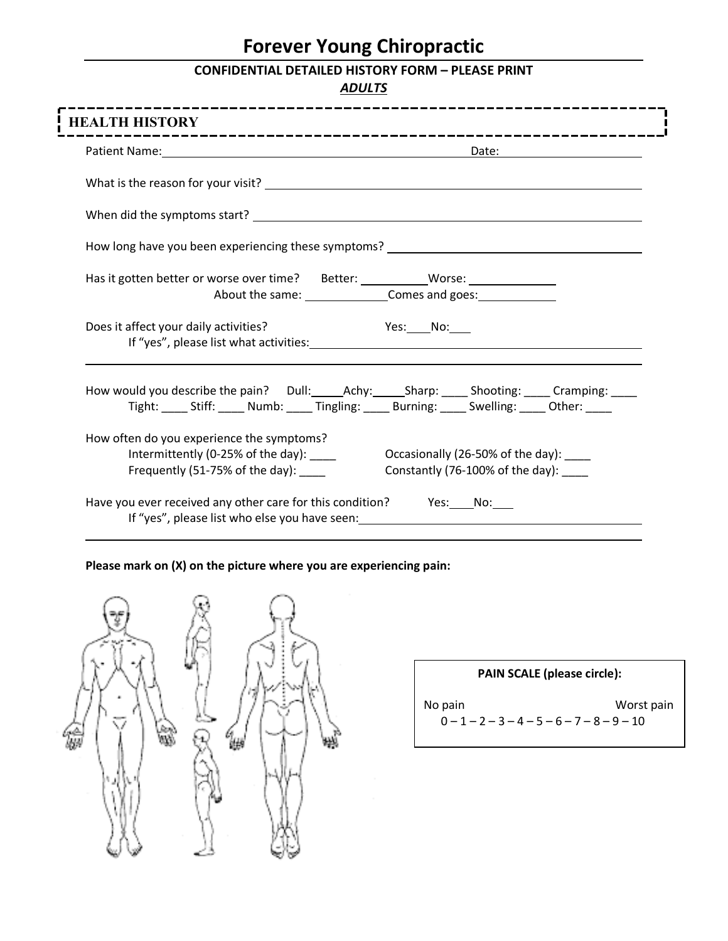# **Forever Young Chiropractic**

## **CONFIDENTIAL DETAILED HISTORY FORM – PLEASE PRINT**

*ADULTS*

| How long have you been experiencing these symptoms? _____________________________                                  |                                                                                            |
|--------------------------------------------------------------------------------------------------------------------|--------------------------------------------------------------------------------------------|
| Has it gotten better or worse over time? Better: __________Worse: ______________                                   |                                                                                            |
| Does it affect your daily activities?                                                                              | <b>Example Service:</b> No:                                                                |
|                                                                                                                    | Tight: ____ Stiff: ____ Numb: ____ Tingling: ____ Burning: ____ Swelling: ____ Other: ____ |
| How often do you experience the symptoms?<br>Intermittently (0-25% of the day):<br>Frequently (51-75% of the day): | Occasionally (26-50% of the day):<br>Constantly (76-100% of the day): ____                 |

**Please mark on (X) on the picture where you are experiencing pain:**



| <b>PAIN SCALE (please circle):</b> |                                                            |  |  |  |
|------------------------------------|------------------------------------------------------------|--|--|--|
| No pain                            | Worst pain<br>$0 - 1 - 2 - 3 - 4 - 5 - 6 - 7 - 8 - 9 - 10$ |  |  |  |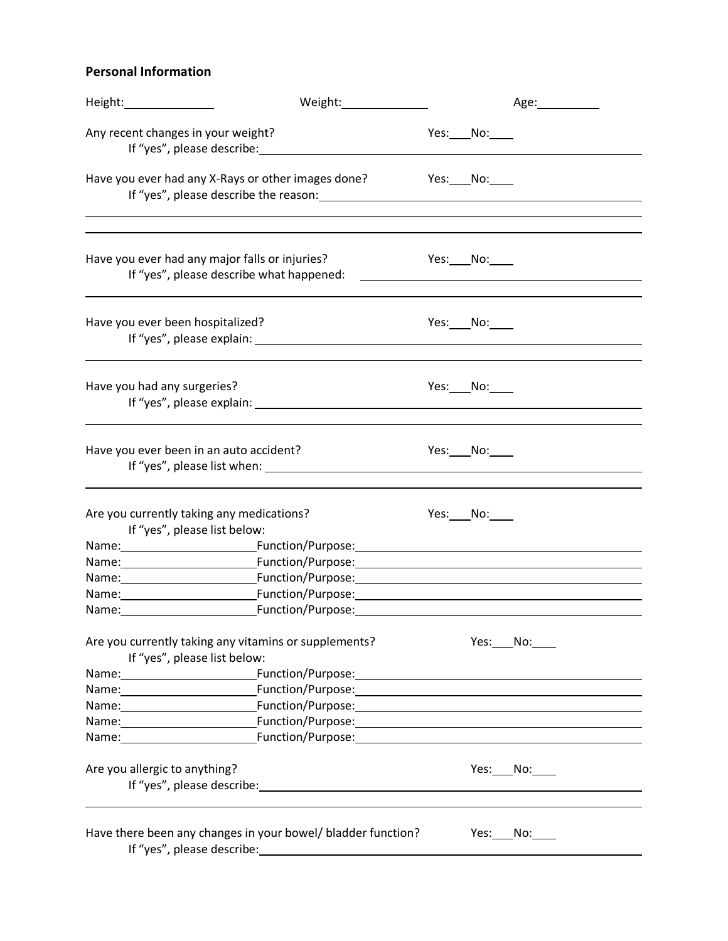## **Personal Information**

| Height: and the state of the state of the state of the state of the state of the state of the state of the state of the state of the state of the state of the state of the state of the state of the state of the state of th | Weight: Weight:                                                                                                                                                                                                               |               | Age: and the set of the set of the set of the set of the set of the set of the set of the set of the set of the |
|--------------------------------------------------------------------------------------------------------------------------------------------------------------------------------------------------------------------------------|-------------------------------------------------------------------------------------------------------------------------------------------------------------------------------------------------------------------------------|---------------|-----------------------------------------------------------------------------------------------------------------|
| Any recent changes in your weight?                                                                                                                                                                                             | If "yes", please describe: www.assetting.com                                                                                                                                                                                  | Yes: No:      |                                                                                                                 |
|                                                                                                                                                                                                                                | Have you ever had any X-Rays or other images done?                                                                                                                                                                            | Yes: $No:$    |                                                                                                                 |
|                                                                                                                                                                                                                                |                                                                                                                                                                                                                               |               |                                                                                                                 |
|                                                                                                                                                                                                                                | Have you ever had any major falls or injuries?<br>If "yes", please describe what happened:                                                                                                                                    | $Yes: _No: _$ | <u> 1989 - Johann Barn, fransk politik amerikansk politik (d. 1989)</u>                                         |
| Have you ever been hospitalized?                                                                                                                                                                                               | If "yes", please explain: example and a series of the series of the series of the series of the series of the series of the series of the series of the series of the series of the series of the series of the series of the | Yes: $No:$    |                                                                                                                 |
| Have you had any surgeries?                                                                                                                                                                                                    |                                                                                                                                                                                                                               | Yes: $No:$    |                                                                                                                 |
| Have you ever been in an auto accident?                                                                                                                                                                                        |                                                                                                                                                                                                                               | Yes: $No:$    |                                                                                                                 |
|                                                                                                                                                                                                                                | Are you currently taking any medications?<br>If "yes", please list below:                                                                                                                                                     | Yes: $No:$    |                                                                                                                 |
|                                                                                                                                                                                                                                | Name: Name: Name: Name: Name: Name: Name: Name: Name: Name: Name: Name: Name: Name: Name: Name: Name: Name: Na                                                                                                                |               |                                                                                                                 |
|                                                                                                                                                                                                                                | Name: \\connection:\\connection:\\connection:\\connection:\\connection:\\connection:\\connection:\\connection:                                                                                                                |               |                                                                                                                 |
|                                                                                                                                                                                                                                | Name: Name: Name: Name: Name: Name: Name: Name: Name: Name: Name: Name: Name: Name: Name: Name: Name: Name: Name: Name: Name: Name: Name: Name: Name: Name: Name: Name: Name: Name: Name: Name: Name: Name: Name: Name: Name: |               |                                                                                                                 |
|                                                                                                                                                                                                                                | Name: Function/Purpose: Function- Function- Function- Function- Function- Function- Function- Function- Function-                                                                                                             |               |                                                                                                                 |
|                                                                                                                                                                                                                                | Name: Function/Purpose: Example 2014 19:30 Propose:                                                                                                                                                                           |               |                                                                                                                 |
|                                                                                                                                                                                                                                | Are you currently taking any vitamins or supplements?<br>If "yes", please list below:                                                                                                                                         |               | Yes: No:                                                                                                        |
|                                                                                                                                                                                                                                |                                                                                                                                                                                                                               |               |                                                                                                                 |
|                                                                                                                                                                                                                                | Name: Function/Purpose: Name: Name: Name: Name: Name: Name: Name: Name: Name: Name: Name: Name: Name: Name: Na                                                                                                                |               |                                                                                                                 |
|                                                                                                                                                                                                                                | Name: Function/Purpose: Function- Function- Function- Function- Function- Function- Function- Function- Function-                                                                                                             |               |                                                                                                                 |
|                                                                                                                                                                                                                                | Name: results: results: results: results: results: results: results: results: results: results: results: results: results: results: results: results: results: results: results: results: results: results: results: results: |               |                                                                                                                 |
|                                                                                                                                                                                                                                |                                                                                                                                                                                                                               |               |                                                                                                                 |
| Are you allergic to anything?                                                                                                                                                                                                  | If "yes", please describe: 1999 and 2009 and 2009 and 2009 and 2009 and 2009 and 2009 and 2009 and 2009 and 20                                                                                                                |               | Yes: No:                                                                                                        |
|                                                                                                                                                                                                                                | Have there been any changes in your bowel/ bladder function?                                                                                                                                                                  |               | Yes: $No:$                                                                                                      |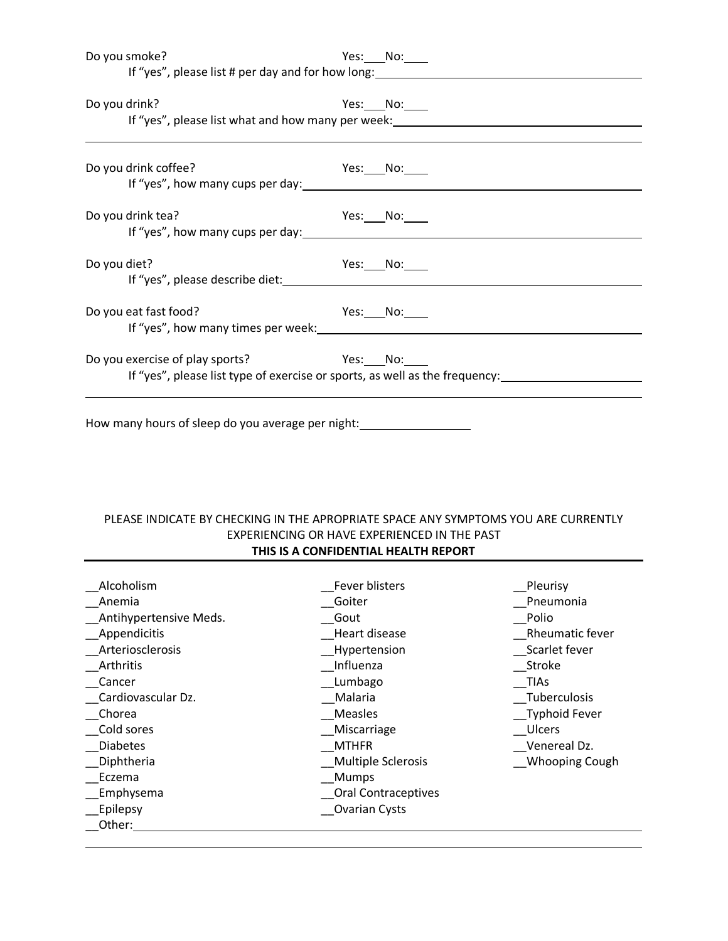| Do you smoke? |                                                                                                                                                                                                                                                                        | Yes: No:                                                                                                       |
|---------------|------------------------------------------------------------------------------------------------------------------------------------------------------------------------------------------------------------------------------------------------------------------------|----------------------------------------------------------------------------------------------------------------|
|               | If "yes", please list # per day and for how long: ______________________________                                                                                                                                                                                       |                                                                                                                |
|               |                                                                                                                                                                                                                                                                        |                                                                                                                |
| Do you drink? |                                                                                                                                                                                                                                                                        | Yes: ____ No: _____                                                                                            |
|               |                                                                                                                                                                                                                                                                        | If "yes", please list what and how many per week: ______________________________                               |
|               |                                                                                                                                                                                                                                                                        |                                                                                                                |
|               | Do you drink coffee?<br><b>Example STEE:</b> No: No:                                                                                                                                                                                                                   |                                                                                                                |
|               |                                                                                                                                                                                                                                                                        |                                                                                                                |
|               | Do you drink tea?<br>If "yes", how many cups per day:                                                                                                                                                                                                                  | Yes:_____No:_____                                                                                              |
|               |                                                                                                                                                                                                                                                                        |                                                                                                                |
| Do you diet?  |                                                                                                                                                                                                                                                                        | Yes: $No:$                                                                                                     |
|               | If "yes", please describe diet: National Assembly of the set of the set of the set of the set of the set of the set of the set of the set of the set of the set of the set of the set of the set of the set of the set of the                                          |                                                                                                                |
|               | Do you eat fast food?                                                                                                                                                                                                                                                  | Yes: $No:$                                                                                                     |
|               | If "yes", how many times per week: Internal and the many times per week:                                                                                                                                                                                               |                                                                                                                |
|               | Do you exercise of play sports?<br><b>Example Street Press</b> Press Production Note that the North Street Press Press Press Press Press Press Press Press Press Press Press Press Press Press Press Press Press Press Press Press Press Press Press Press Press Press |                                                                                                                |
|               |                                                                                                                                                                                                                                                                        | If "yes", please list type of exercise or sports, as well as the frequency: 1.1.1.1.1.1.1.1.1.1.1.1.1.1.1.1.1. |
|               |                                                                                                                                                                                                                                                                        |                                                                                                                |

How many hours of sleep do you average per night:<br>
<u>Letter many influents</u>

#### PLEASE INDICATE BY CHECKING IN THE APROPRIATE SPACE ANY SYMPTOMS YOU ARE CURRENTLY EXPERIENCING OR HAVE EXPERIENCED IN THE PAST **THIS IS A CONFIDENTIAL HEALTH REPORT**

| Alcoholism             | Fever blisters             | Pleurisy              |
|------------------------|----------------------------|-----------------------|
| Anemia                 | Goiter                     | Pneumonia             |
| Antihypertensive Meds. | Gout                       | Polio                 |
| Appendicitis           | Heart disease              | Rheumatic fever       |
| Arteriosclerosis       | Hypertension               | Scarlet fever         |
| Arthritis              | Influenza                  | Stroke                |
| Cancer                 | Lumbago                    | <b>TIAs</b>           |
| Cardiovascular Dz.     | Malaria                    | Tuberculosis          |
| Chorea                 | <b>Measles</b>             | <b>Typhoid Fever</b>  |
| Cold sores             | Miscarriage                | Ulcers                |
| <b>Diabetes</b>        | <b>MTHFR</b>               | Venereal Dz.          |
| Diphtheria             | <b>Multiple Sclerosis</b>  | <b>Whooping Cough</b> |
| Eczema                 | <b>Mumps</b>               |                       |
| <b>Emphysema</b>       | <b>Oral Contraceptives</b> |                       |
| Epilepsy               | Ovarian Cysts              |                       |
| Other:                 |                            |                       |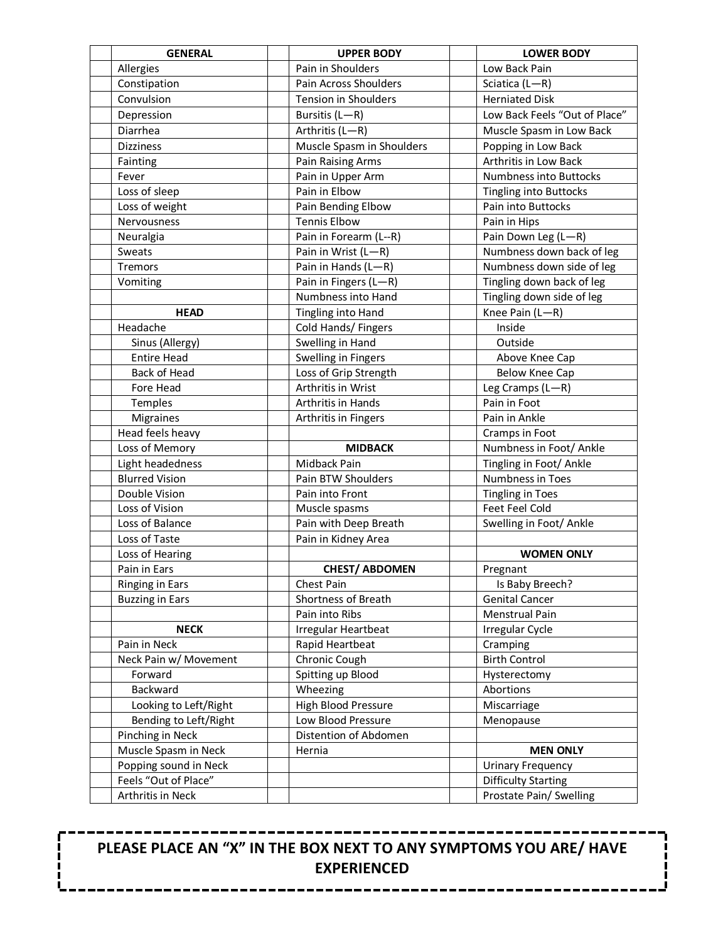| <b>GENERAL</b>                                | <b>UPPER BODY</b>           | <b>LOWER BODY</b>             |
|-----------------------------------------------|-----------------------------|-------------------------------|
| Allergies                                     | Pain in Shoulders           | Low Back Pain                 |
| Constipation                                  | Pain Across Shoulders       | Sciatica (L-R)                |
| Convulsion                                    | <b>Tension in Shoulders</b> | <b>Herniated Disk</b>         |
| Depression                                    | Bursitis (L-R)              | Low Back Feels "Out of Place" |
| Diarrhea                                      | Arthritis (L-R)             | Muscle Spasm in Low Back      |
| <b>Dizziness</b>                              | Muscle Spasm in Shoulders   | Popping in Low Back           |
| Fainting                                      | Pain Raising Arms           | Arthritis in Low Back         |
| Fever                                         | Pain in Upper Arm           | Numbness into Buttocks        |
| Loss of sleep                                 | Pain in Elbow               | <b>Tingling into Buttocks</b> |
| Loss of weight                                | Pain Bending Elbow          | Pain into Buttocks            |
| Nervousness                                   | <b>Tennis Elbow</b>         | Pain in Hips                  |
| Neuralgia                                     | Pain in Forearm (L--R)      | Pain Down Leg (L-R)           |
| Sweats                                        | Pain in Wrist (L-R)         | Numbness down back of leg     |
| Tremors                                       | Pain in Hands (L-R)         | Numbness down side of leg     |
| Vomiting                                      | Pain in Fingers (L-R)       | Tingling down back of leg     |
|                                               | Numbness into Hand          | Tingling down side of leg     |
| <b>HEAD</b>                                   | Tingling into Hand          | Knee Pain (L-R)               |
| Headache                                      | Cold Hands/ Fingers         | Inside                        |
| Sinus (Allergy)                               | Swelling in Hand            | Outside                       |
| <b>Entire Head</b>                            | Swelling in Fingers         | Above Knee Cap                |
| <b>Back of Head</b>                           | Loss of Grip Strength       | Below Knee Cap                |
| Fore Head                                     | Arthritis in Wrist          | Leg Cramps (L-R)              |
| Temples                                       | Arthritis in Hands          | Pain in Foot                  |
| <b>Migraines</b>                              | Arthritis in Fingers        | Pain in Ankle                 |
| Head feels heavy                              |                             | Cramps in Foot                |
| Loss of Memory                                | <b>MIDBACK</b>              | Numbness in Foot/ Ankle       |
| Light headedness                              | Midback Pain                | Tingling in Foot/ Ankle       |
| <b>Blurred Vision</b>                         | Pain BTW Shoulders          | Numbness in Toes              |
| Double Vision                                 | Pain into Front             | <b>Tingling in Toes</b>       |
| Loss of Vision                                | Muscle spasms               | Feet Feel Cold                |
| Loss of Balance                               | Pain with Deep Breath       | Swelling in Foot/ Ankle       |
| Loss of Taste                                 | Pain in Kidney Area         |                               |
| Loss of Hearing                               |                             | <b>WOMEN ONLY</b>             |
| Pain in Ears                                  | <b>CHEST/ ABDOMEN</b>       | Pregnant                      |
| Ringing in Ears                               | Chest Pain                  | Is Baby Breech?               |
| <b>Buzzing in Ears</b>                        | Shortness of Breath         | <b>Genital Cancer</b>         |
|                                               | Pain into Ribs              | Menstrual Pain                |
| <b>NECK</b>                                   | Irregular Heartbeat         | Irregular Cycle               |
| Pain in Neck                                  | Rapid Heartbeat             | Cramping                      |
| Neck Pain w/ Movement                         | Chronic Cough               | <b>Birth Control</b>          |
| Forward                                       | Spitting up Blood           | Hysterectomy                  |
| Backward                                      | Wheezing                    | Abortions                     |
| Looking to Left/Right                         | High Blood Pressure         | Miscarriage                   |
| Bending to Left/Right                         | Low Blood Pressure          | Menopause                     |
| Pinching in Neck                              | Distention of Abdomen       |                               |
| Muscle Spasm in Neck                          | Hernia                      | <b>MEN ONLY</b>               |
| Popping sound in Neck<br>Feels "Out of Place" |                             | <b>Urinary Frequency</b>      |
|                                               |                             | <b>Difficulty Starting</b>    |
| Arthritis in Neck                             |                             | Prostate Pain/ Swelling       |

**PLEASE PLACE AN "X" IN THE BOX NEXT TO ANY SYMPTOMS YOU ARE/ HAVE EXPERIENCED**

--------

. . . .

--------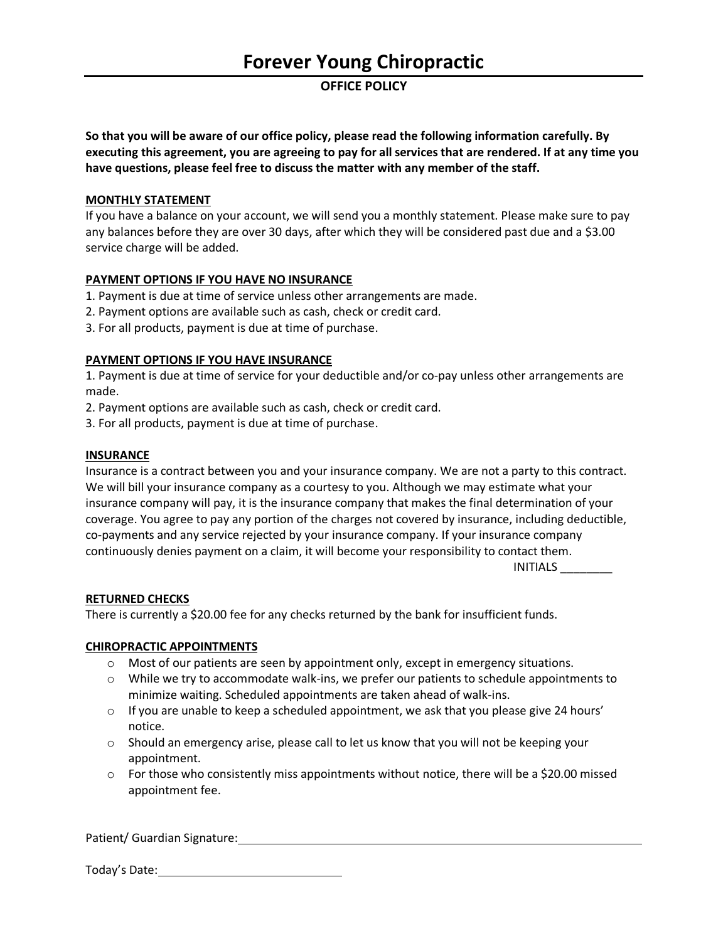## **OFFICE POLICY**

**So that you will be aware of our office policy, please read the following information carefully. By executing this agreement, you are agreeing to pay for all services that are rendered. If at any time you have questions, please feel free to discuss the matter with any member of the staff.** 

#### **MONTHLY STATEMENT**

If you have a balance on your account, we will send you a monthly statement. Please make sure to pay any balances before they are over 30 days, after which they will be considered past due and a \$3.00 service charge will be added.

#### **PAYMENT OPTIONS IF YOU HAVE NO INSURANCE**

- 1. Payment is due at time of service unless other arrangements are made.
- 2. Payment options are available such as cash, check or credit card.
- 3. For all products, payment is due at time of purchase.

#### **PAYMENT OPTIONS IF YOU HAVE INSURANCE**

1. Payment is due at time of service for your deductible and/or co-pay unless other arrangements are made.

- 2. Payment options are available such as cash, check or credit card.
- 3. For all products, payment is due at time of purchase.

#### **INSURANCE**

Insurance is a contract between you and your insurance company. We are not a party to this contract. We will bill your insurance company as a courtesy to you. Although we may estimate what your insurance company will pay, it is the insurance company that makes the final determination of your coverage. You agree to pay any portion of the charges not covered by insurance, including deductible, co-payments and any service rejected by your insurance company. If your insurance company continuously denies payment on a claim, it will become your responsibility to contact them.

INITIALS \_\_\_\_\_\_\_\_

#### **RETURNED CHECKS**

There is currently a \$20.00 fee for any checks returned by the bank for insufficient funds.

#### **CHIROPRACTIC APPOINTMENTS**

- $\circ$  Most of our patients are seen by appointment only, except in emergency situations.
- $\circ$  While we try to accommodate walk-ins, we prefer our patients to schedule appointments to minimize waiting. Scheduled appointments are taken ahead of walk-ins.
- $\circ$  If you are unable to keep a scheduled appointment, we ask that you please give 24 hours' notice.
- $\circ$  Should an emergency arise, please call to let us know that you will not be keeping your appointment.
- $\circ$  For those who consistently miss appointments without notice, there will be a \$20.00 missed appointment fee.

Patient/ Guardian Signature:

Today's Date: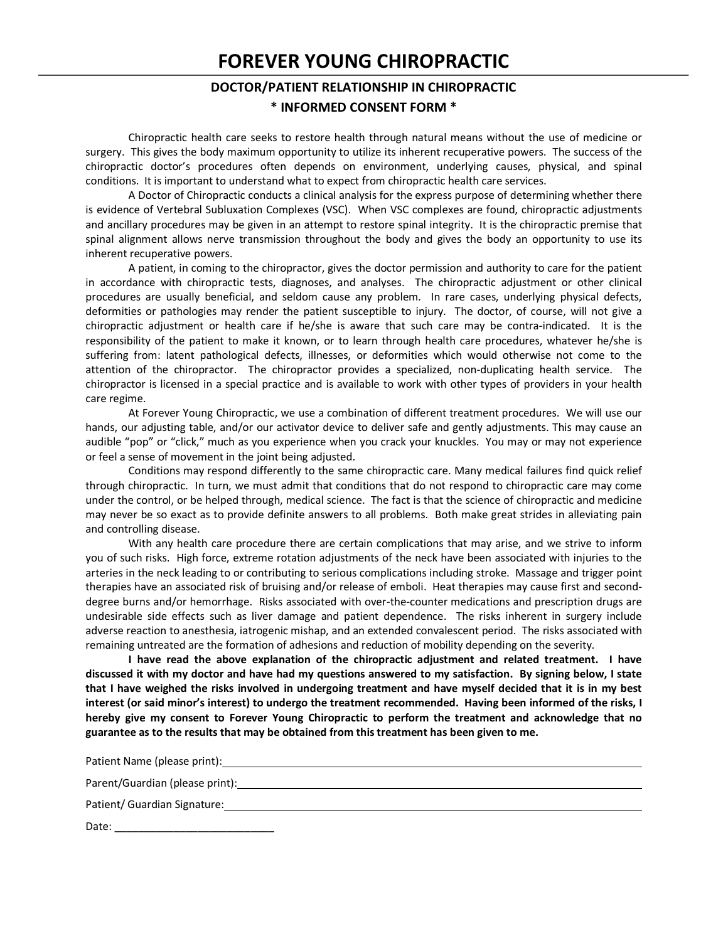## **FOREVER YOUNG CHIROPRACTIC**

## **DOCTOR/PATIENT RELATIONSHIP IN CHIROPRACTIC \* INFORMED CONSENT FORM \***

Chiropractic health care seeks to restore health through natural means without the use of medicine or surgery. This gives the body maximum opportunity to utilize its inherent recuperative powers. The success of the chiropractic doctor's procedures often depends on environment, underlying causes, physical, and spinal conditions. It is important to understand what to expect from chiropractic health care services.

A Doctor of Chiropractic conducts a clinical analysis for the express purpose of determining whether there is evidence of Vertebral Subluxation Complexes (VSC). When VSC complexes are found, chiropractic adjustments and ancillary procedures may be given in an attempt to restore spinal integrity. It is the chiropractic premise that spinal alignment allows nerve transmission throughout the body and gives the body an opportunity to use its inherent recuperative powers.

A patient, in coming to the chiropractor, gives the doctor permission and authority to care for the patient in accordance with chiropractic tests, diagnoses, and analyses. The chiropractic adjustment or other clinical procedures are usually beneficial, and seldom cause any problem. In rare cases, underlying physical defects, deformities or pathologies may render the patient susceptible to injury. The doctor, of course, will not give a chiropractic adjustment or health care if he/she is aware that such care may be contra-indicated. It is the responsibility of the patient to make it known, or to learn through health care procedures, whatever he/she is suffering from: latent pathological defects, illnesses, or deformities which would otherwise not come to the attention of the chiropractor. The chiropractor provides a specialized, non-duplicating health service. The chiropractor is licensed in a special practice and is available to work with other types of providers in your health care regime.

At Forever Young Chiropractic, we use a combination of different treatment procedures. We will use our hands, our adjusting table, and/or our activator device to deliver safe and gently adjustments. This may cause an audible "pop" or "click," much as you experience when you crack your knuckles. You may or may not experience or feel a sense of movement in the joint being adjusted.

Conditions may respond differently to the same chiropractic care. Many medical failures find quick relief through chiropractic. In turn, we must admit that conditions that do not respond to chiropractic care may come under the control, or be helped through, medical science. The fact is that the science of chiropractic and medicine may never be so exact as to provide definite answers to all problems. Both make great strides in alleviating pain and controlling disease.

With any health care procedure there are certain complications that may arise, and we strive to inform you of such risks. High force, extreme rotation adjustments of the neck have been associated with injuries to the arteries in the neck leading to or contributing to serious complications including stroke. Massage and trigger point therapies have an associated risk of bruising and/or release of emboli. Heat therapies may cause first and seconddegree burns and/or hemorrhage. Risks associated with over-the-counter medications and prescription drugs are undesirable side effects such as liver damage and patient dependence. The risks inherent in surgery include adverse reaction to anesthesia, iatrogenic mishap, and an extended convalescent period. The risks associated with remaining untreated are the formation of adhesions and reduction of mobility depending on the severity.

**I have read the above explanation of the chiropractic adjustment and related treatment. I have discussed it with my doctor and have had my questions answered to my satisfaction. By signing below, I state that I have weighed the risks involved in undergoing treatment and have myself decided that it is in my best interest (or said minor's interest) to undergo the treatment recommended. Having been informed of the risks, I hereby give my consent to Forever Young Chiropractic to perform the treatment and acknowledge that no guarantee as to the results that may be obtained from this treatment has been given to me.**

Patient Name (please print):

Parent/Guardian (please print):

Patient/ Guardian Signature:

Date: \_\_\_\_\_\_\_\_\_\_\_\_\_\_\_\_\_\_\_\_\_\_\_\_\_\_\_